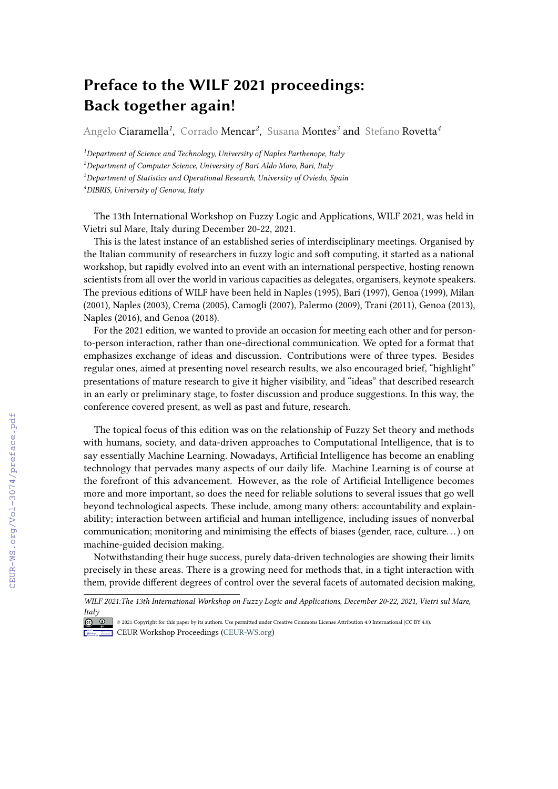## **Preface to the WILF 2021 proceedings: Back together again!**

Angelo Ciaramella*<sup>1</sup>* , Corrado Mencar*<sup>2</sup>* , Susana Montes*<sup>3</sup>* and Stefano Rovetta*<sup>4</sup>*

*Department of Science and Technology, University of Naples Parthenope, Italy Department of Computer Science, University of Bari Aldo Moro, Bari, Italy Department of Statistics and Operational Research, University of Oviedo, Spain DIBRIS, University of Genova, Italy*

The 13th International Workshop on Fuzzy Logic and Applications, WILF 2021, was held in Vietri sul Mare, Italy during December 20-22, 2021.

This is the latest instance of an established series of interdisciplinary meetings. Organised by the Italian community of researchers in fuzzy logic and soft computing, it started as a national workshop, but rapidly evolved into an event with an international perspective, hosting renown scientists from all over the world in various capacities as delegates, organisers, keynote speakers. The previous editions of WILF have been held in Naples (1995), Bari (1997), Genoa (1999), Milan (2001), Naples (2003), Crema (2005), Camogli (2007), Palermo (2009), Trani (2011), Genoa (2013), Naples (2016), and Genoa (2018).

For the 2021 edition, we wanted to provide an occasion for meeting each other and for personto-person interaction, rather than one-directional communication. We opted for a format that emphasizes exchange of ideas and discussion. Contributions were of three types. Besides regular ones, aimed at presenting novel research results, we also encouraged brief, "highlight" presentations of mature research to give it higher visibility, and "ideas" that described research in an early or preliminary stage, to foster discussion and produce suggestions. In this way, the conference covered present, as well as past and future, research.

The topical focus of this edition was on the relationship of Fuzzy Set theory and methods with humans, society, and data-driven approaches to Computational Intelligence, that is to say essentially Machine Learning. Nowadays, Artificial Intelligence has become an enabling technology that pervades many aspects of our daily life. Machine Learning is of course at the forefront of this advancement. However, as the role of Artificial Intelligence becomes more and more important, so does the need for reliable solutions to several issues that go well beyond technological aspects. These include, among many others: accountability and explainability; interaction between artificial and human intelligence, including issues of nonverbal communication; monitoring and minimising the effects of biases (gender, race, culture...) on machine-guided decision making.

Notwithstanding their huge success, purely data-driven technologies are showing their limits precisely in these areas. There is a growing need for methods that, in a tight interaction with them, provide different degrees of control over the several facets of automated decision making,

CEUR-WS.org/Vol-3074/preface.pdf

*WILF 2021:The 13th International Workshop on Fuzzy Logic and Applications, December 20-22, 2021, Vietri sul Mare, [Italy](https://creativecommons.org/licenses/by/4.0)*

<sup>©</sup> 2021 Copyright for this paper by its authors. Use permitted under Creative Commons License Attribution 4.0 International (CC BY 4.0). **CEUR Workshop [Proceedings](http://ceur-ws.org) [\(CEUR-WS.org\)](http://ceur-ws.org)**